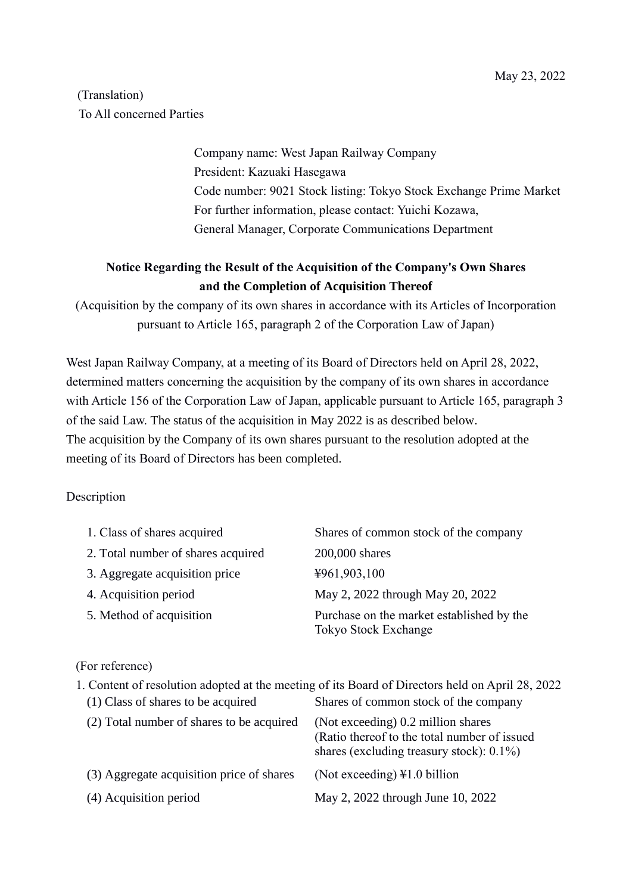## (Translation) To All concerned Parties

Company name: West Japan Railway Company President: Kazuaki Hasegawa Code number: 9021 Stock listing: Tokyo Stock Exchange Prime Market For further information, please contact: Yuichi Kozawa, General Manager, Corporate Communications Department

## **Notice Regarding the Result of the Acquisition of the Company's Own Shares and the Completion of Acquisition Thereof**

(Acquisition by the company of its own shares in accordance with its Articles of Incorporation pursuant to Article 165, paragraph 2 of the Corporation Law of Japan)

West Japan Railway Company, at a meeting of its Board of Directors held on April 28, 2022, determined matters concerning the acquisition by the company of its own shares in accordance with Article 156 of the Corporation Law of Japan, applicable pursuant to Article 165, paragraph 3 of the said Law. The status of the acquisition in May 2022 is as described below. The acquisition by the Company of its own shares pursuant to the resolution adopted at the meeting of its Board of Directors has been completed.

## Description

| 1. Class of shares acquired        | Shares of common stock of the company                             |
|------------------------------------|-------------------------------------------------------------------|
| 2. Total number of shares acquired | 200,000 shares                                                    |
| 3. Aggregate acquisition price     | ¥961,903,100                                                      |
| 4. Acquisition period              | May 2, 2022 through May 20, 2022                                  |
| 5. Method of acquisition           | Purchase on the market established by the<br>Tokyo Stock Exchange |

## (For reference)

| 1. Content of resolution adopted at the meeting of its Board of Directors held on April 28, 2022 |                                                                                                                                    |  |
|--------------------------------------------------------------------------------------------------|------------------------------------------------------------------------------------------------------------------------------------|--|
| (1) Class of shares to be acquired                                                               | Shares of common stock of the company                                                                                              |  |
| (2) Total number of shares to be acquired                                                        | (Not exceeding) 0.2 million shares<br>(Ratio thereof to the total number of issued<br>shares (excluding treasury stock): $0.1\%$ ) |  |
| (3) Aggregate acquisition price of shares                                                        | (Not exceeding) $\text{\&}1.0$ billion                                                                                             |  |
| (4) Acquisition period                                                                           | May 2, 2022 through June 10, 2022                                                                                                  |  |